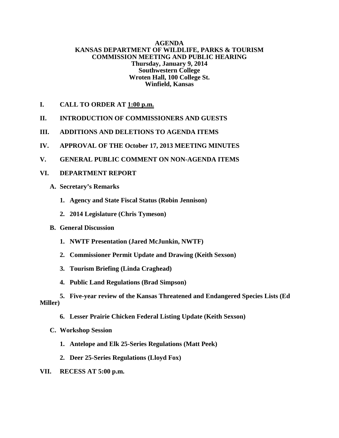#### **AGENDA KANSAS DEPARTMENT OF WILDLIFE, PARKS & TOURISM COMMISSION MEETING AND PUBLIC HEARING Thursday, January 9, 2014 Southwestern College Wroten Hall, 100 College St. Winfield, Kansas**

- **I. CALL TO ORDER AT 1:00 p.m.**
- **II. INTRODUCTION OF COMMISSIONERS AND GUESTS**
- **III. ADDITIONS AND DELETIONS TO AGENDA ITEMS**
- **IV. APPROVAL OF THE October 17, 2013 MEETING MINUTES**
- **V. GENERAL PUBLIC COMMENT ON NON-AGENDA ITEMS**

#### **VI. DEPARTMENT REPORT**

- **A. Secretary's Remarks**
	- **1. Agency and State Fiscal Status (Robin Jennison)**
	- **2. 2014 Legislature (Chris Tymeson)**
- **B. General Discussion** 
	- **1. NWTF Presentation (Jared McJunkin, NWTF)**
	- **2. Commissioner Permit Update and Drawing (Keith Sexson)**
	- **3. Tourism Briefing (Linda Craghead)**
	- **4. Public Land Regulations (Brad Simpson)**
- **5. Five-year review of the Kansas Threatened and Endangered Species Lists (Ed Miller)**
	- **6. Lesser Prairie Chicken Federal Listing Update (Keith Sexson)**
	- **C. Workshop Session** 
		- **1. Antelope and Elk 25-Series Regulations (Matt Peek)**
		- **2. Deer 25-Series Regulations (Lloyd Fox)**
- **VII. RECESS AT 5:00 p.m.**